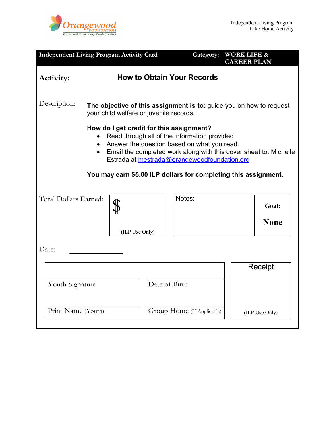

| <b>Independent Living Program Activity Card</b>                                                                                                                                                                                                                                                                                              |                |                                   | Category:                  | <b>WORK LIFE &amp;</b><br><b>CAREER PLAN</b> |
|----------------------------------------------------------------------------------------------------------------------------------------------------------------------------------------------------------------------------------------------------------------------------------------------------------------------------------------------|----------------|-----------------------------------|----------------------------|----------------------------------------------|
| Activity:                                                                                                                                                                                                                                                                                                                                    |                | <b>How to Obtain Your Records</b> |                            |                                              |
| Description:<br>The objective of this assignment is to: guide you on how to request<br>your child welfare or juvenile records.                                                                                                                                                                                                               |                |                                   |                            |                                              |
| How do I get credit for this assignment?<br>Read through all of the information provided<br>Answer the question based on what you read.<br>Email the completed work along with this cover sheet to: Michelle<br>$\bullet$<br>Estrada at mestrada@orangewoodfoundation.org<br>You may earn \$5.00 ILP dollars for completing this assignment. |                |                                   |                            |                                              |
| Total Dollars Earned:                                                                                                                                                                                                                                                                                                                        |                |                                   | Notes:                     | Goal:                                        |
|                                                                                                                                                                                                                                                                                                                                              | (ILP Use Only) |                                   |                            | <b>None</b>                                  |
| Date:                                                                                                                                                                                                                                                                                                                                        |                |                                   |                            |                                              |
| Date of Birth<br>Youth Signature                                                                                                                                                                                                                                                                                                             |                |                                   |                            | Receipt                                      |
| Print Name (Youth)                                                                                                                                                                                                                                                                                                                           |                |                                   | Group Home (If Applicable) | (ILP Use Only)                               |